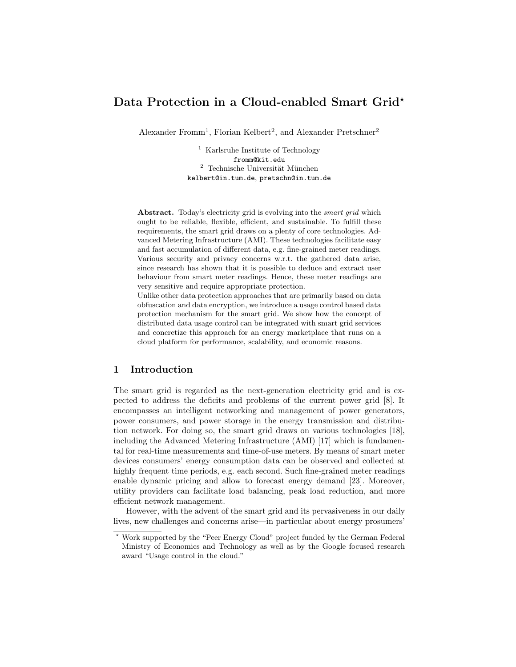# Data Protection in a Cloud-enabled Smart Grid<sup>\*</sup>

Alexander Fromm<sup>1</sup>, Florian Kelbert<sup>2</sup>, and Alexander Pretschner<sup>2</sup>

<sup>1</sup> Karlsruhe Institute of Technology fromm@kit.edu  $^{\rm 2}$  Technische Universität München kelbert@in.tum.de, pretschn@in.tum.de

Abstract. Today's electricity grid is evolving into the *smart grid* which ought to be reliable, flexible, efficient, and sustainable. To fulfill these requirements, the smart grid draws on a plenty of core technologies. Advanced Metering Infrastructure (AMI). These technologies facilitate easy and fast accumulation of different data, e.g. fine-grained meter readings. Various security and privacy concerns w.r.t. the gathered data arise, since research has shown that it is possible to deduce and extract user behaviour from smart meter readings. Hence, these meter readings are very sensitive and require appropriate protection.

Unlike other data protection approaches that are primarily based on data obfuscation and data encryption, we introduce a usage control based data protection mechanism for the smart grid. We show how the concept of distributed data usage control can be integrated with smart grid services and concretize this approach for an energy marketplace that runs on a cloud platform for performance, scalability, and economic reasons.

# 1 Introduction

The smart grid is regarded as the next-generation electricity grid and is expected to address the deficits and problems of the current power grid [8]. It encompasses an intelligent networking and management of power generators, power consumers, and power storage in the energy transmission and distribution network. For doing so, the smart grid draws on various technologies [18], including the Advanced Metering Infrastructure (AMI) [17] which is fundamental for real-time measurements and time-of-use meters. By means of smart meter devices consumers' energy consumption data can be observed and collected at highly frequent time periods, e.g. each second. Such fine-grained meter readings enable dynamic pricing and allow to forecast energy demand [23]. Moreover, utility providers can facilitate load balancing, peak load reduction, and more efficient network management.

However, with the advent of the smart grid and its pervasiveness in our daily lives, new challenges and concerns arise—in particular about energy prosumers'

<sup>?</sup> Work supported by the "Peer Energy Cloud" project funded by the German Federal Ministry of Economics and Technology as well as by the Google focused research award "Usage control in the cloud."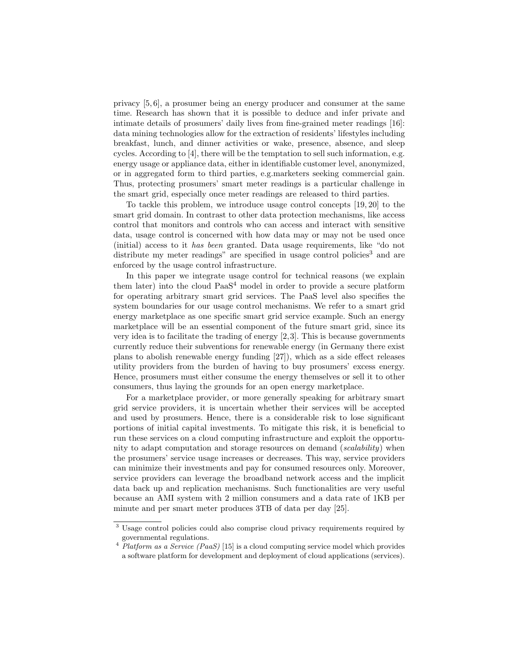privacy [5, 6], a prosumer being an energy producer and consumer at the same time. Research has shown that it is possible to deduce and infer private and intimate details of prosumers' daily lives from fine-grained meter readings [16]: data mining technologies allow for the extraction of residents' lifestyles including breakfast, lunch, and dinner activities or wake, presence, absence, and sleep cycles. According to [4], there will be the temptation to sell such information, e.g. energy usage or appliance data, either in identifiable customer level, anonymized, or in aggregated form to third parties, e.g.marketers seeking commercial gain. Thus, protecting prosumers' smart meter readings is a particular challenge in the smart grid, especially once meter readings are released to third parties.

To tackle this problem, we introduce usage control concepts [19, 20] to the smart grid domain. In contrast to other data protection mechanisms, like access control that monitors and controls who can access and interact with sensitive data, usage control is concerned with how data may or may not be used once (initial) access to it has been granted. Data usage requirements, like "do not distribute my meter readings" are specified in usage control policies<sup>3</sup> and are enforced by the usage control infrastructure.

In this paper we integrate usage control for technical reasons (we explain them later) into the cloud  $PaaS<sup>4</sup>$  model in order to provide a secure platform for operating arbitrary smart grid services. The PaaS level also specifies the system boundaries for our usage control mechanisms. We refer to a smart grid energy marketplace as one specific smart grid service example. Such an energy marketplace will be an essential component of the future smart grid, since its very idea is to facilitate the trading of energy [2,3]. This is because governments currently reduce their subventions for renewable energy (in Germany there exist plans to abolish renewable energy funding [27]), which as a side effect releases utility providers from the burden of having to buy prosumers' excess energy. Hence, prosumers must either consume the energy themselves or sell it to other consumers, thus laying the grounds for an open energy marketplace.

For a marketplace provider, or more generally speaking for arbitrary smart grid service providers, it is uncertain whether their services will be accepted and used by prosumers. Hence, there is a considerable risk to lose significant portions of initial capital investments. To mitigate this risk, it is beneficial to run these services on a cloud computing infrastructure and exploit the opportunity to adapt computation and storage resources on demand (scalability) when the prosumers' service usage increases or decreases. This way, service providers can minimize their investments and pay for consumed resources only. Moreover, service providers can leverage the broadband network access and the implicit data back up and replication mechanisms. Such functionalities are very useful because an AMI system with 2 million consumers and a data rate of 1KB per minute and per smart meter produces 3TB of data per day [25].

<sup>&</sup>lt;sup>3</sup> Usage control policies could also comprise cloud privacy requirements required by governmental regulations.

<sup>&</sup>lt;sup>4</sup> Platform as a Service (PaaS) [15] is a cloud computing service model which provides a software platform for development and deployment of cloud applications (services).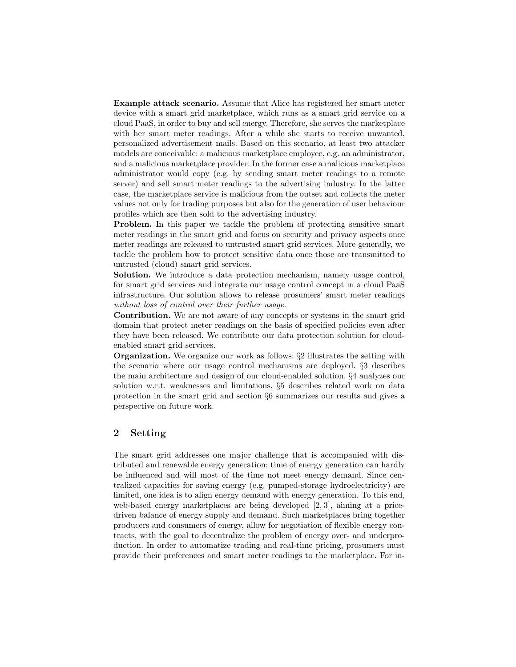Example attack scenario. Assume that Alice has registered her smart meter device with a smart grid marketplace, which runs as a smart grid service on a cloud PaaS, in order to buy and sell energy. Therefore, she serves the marketplace with her smart meter readings. After a while she starts to receive unwanted, personalized advertisement mails. Based on this scenario, at least two attacker models are conceivable: a malicious marketplace employee, e.g. an administrator, and a malicious marketplace provider. In the former case a malicious marketplace administrator would copy (e.g. by sending smart meter readings to a remote server) and sell smart meter readings to the advertising industry. In the latter case, the marketplace service is malicious from the outset and collects the meter values not only for trading purposes but also for the generation of user behaviour profiles which are then sold to the advertising industry.

Problem. In this paper we tackle the problem of protecting sensitive smart meter readings in the smart grid and focus on security and privacy aspects once meter readings are released to untrusted smart grid services. More generally, we tackle the problem how to protect sensitive data once those are transmitted to untrusted (cloud) smart grid services.

Solution. We introduce a data protection mechanism, namely usage control, for smart grid services and integrate our usage control concept in a cloud PaaS infrastructure. Our solution allows to release prosumers' smart meter readings without loss of control over their further usage.

Contribution. We are not aware of any concepts or systems in the smart grid domain that protect meter readings on the basis of specified policies even after they have been released. We contribute our data protection solution for cloudenabled smart grid services.

**Organization.** We organize our work as follows:  $\S2$  illustrates the setting with the scenario where our usage control mechanisms are deployed. §3 describes the main architecture and design of our cloud-enabled solution. §4 analyzes our solution w.r.t. weaknesses and limitations. §5 describes related work on data protection in the smart grid and section §6 summarizes our results and gives a perspective on future work.

# 2 Setting

The smart grid addresses one major challenge that is accompanied with distributed and renewable energy generation: time of energy generation can hardly be influenced and will most of the time not meet energy demand. Since centralized capacities for saving energy (e.g. pumped-storage hydroelectricity) are limited, one idea is to align energy demand with energy generation. To this end, web-based energy marketplaces are being developed [2, 3], aiming at a pricedriven balance of energy supply and demand. Such marketplaces bring together producers and consumers of energy, allow for negotiation of flexible energy contracts, with the goal to decentralize the problem of energy over- and underproduction. In order to automatize trading and real-time pricing, prosumers must provide their preferences and smart meter readings to the marketplace. For in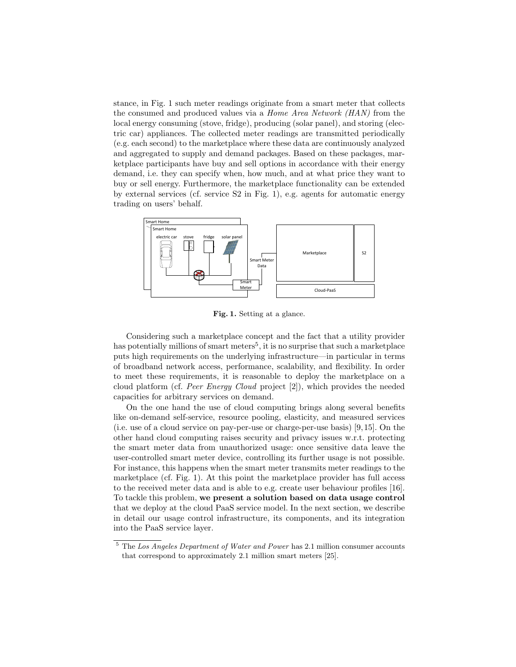stance, in Fig. 1 such meter readings originate from a smart meter that collects the consumed and produced values via a Home Area Network (HAN) from the local energy consuming (stove, fridge), producing (solar panel), and storing (electric car) appliances. The collected meter readings are transmitted periodically (e.g. each second) to the marketplace where these data are continuously analyzed and aggregated to supply and demand packages. Based on these packages, marketplace participants have buy and sell options in accordance with their energy demand, i.e. they can specify when, how much, and at what price they want to buy or sell energy. Furthermore, the marketplace functionality can be extended by external services (cf. service S2 in Fig. 1), e.g. agents for automatic energy trading on users' behalf.



Fig. 1. Setting at a glance.

Considering such a marketplace concept and the fact that a utility provider has potentially millions of smart meters<sup>5</sup>, it is no surprise that such a marketplace puts high requirements on the underlying infrastructure—in particular in terms of broadband network access, performance, scalability, and flexibility. In order to meet these requirements, it is reasonable to deploy the marketplace on a cloud platform (cf. Peer Energy Cloud project [2]), which provides the needed capacities for arbitrary services on demand.

On the one hand the use of cloud computing brings along several benefits like on-demand self-service, resource pooling, elasticity, and measured services (i.e. use of a cloud service on pay-per-use or charge-per-use basis) [9,15]. On the other hand cloud computing raises security and privacy issues w.r.t. protecting the smart meter data from unauthorized usage: once sensitive data leave the user-controlled smart meter device, controlling its further usage is not possible. For instance, this happens when the smart meter transmits meter readings to the marketplace (cf. Fig. 1). At this point the marketplace provider has full access to the received meter data and is able to e.g. create user behaviour profiles [16]. To tackle this problem, we present a solution based on data usage control that we deploy at the cloud PaaS service model. In the next section, we describe in detail our usage control infrastructure, its components, and its integration into the PaaS service layer.

 $5$  The Los Angeles Department of Water and Power has 2.1 million consumer accounts that correspond to approximately 2.1 million smart meters [25].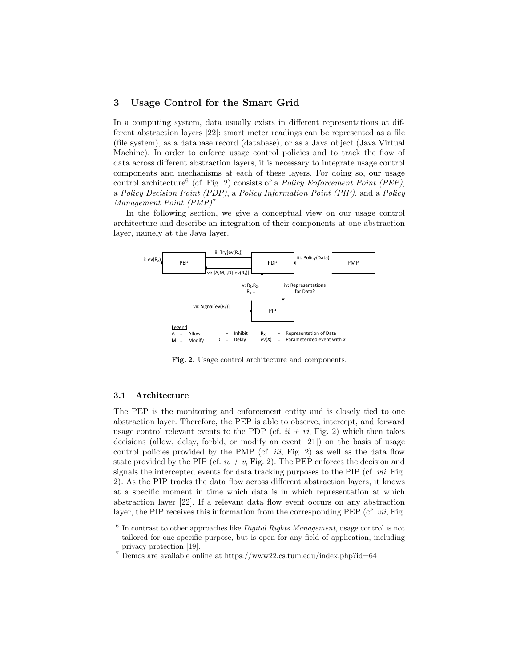# 3 Usage Control for the Smart Grid

In a computing system, data usually exists in different representations at different abstraction layers [22]: smart meter readings can be represented as a file (file system), as a database record (database), or as a Java object (Java Virtual Machine). In order to enforce usage control policies and to track the flow of data across different abstraction layers, it is necessary to integrate usage control components and mechanisms at each of these layers. For doing so, our usage control architecture<sup>6</sup> (cf. Fig. 2) consists of a *Policy Enforcement Point (PEP)*, a Policy Decision Point (PDP), a Policy Information Point (PIP), and a Policy Management Point (PMP)<sup>7</sup>.

In the following section, we give a conceptual view on our usage control architecture and describe an integration of their components at one abstraction layer, namely at the Java layer.



Fig. 2. Usage control architecture and components.

#### 3.1 Architecture

The PEP is the monitoring and enforcement entity and is closely tied to one abstraction layer. Therefore, the PEP is able to observe, intercept, and forward usage control relevant events to the PDP (cf.  $ii + vi$ , Fig. 2) which then takes decisions (allow, delay, forbid, or modify an event [21]) on the basis of usage control policies provided by the PMP (cf.  $iii$ , Fig. 2) as well as the data flow state provided by the PIP (cf. iv  $+ v$ , Fig. 2). The PEP enforces the decision and signals the intercepted events for data tracking purposes to the PIP (cf.  $vi$ , Fig. 2). As the PIP tracks the data flow across different abstraction layers, it knows at a specific moment in time which data is in which representation at which abstraction layer [22]. If a relevant data flow event occurs on any abstraction layer, the PIP receives this information from the corresponding PEP (cf.  $vi$ , Fig.

 $6$  In contrast to other approaches like *Digital Rights Management*, usage control is not tailored for one specific purpose, but is open for any field of application, including privacy protection [19].

 $^7$  Demos are available online at https://www22.cs.tum.edu/index.php?id=64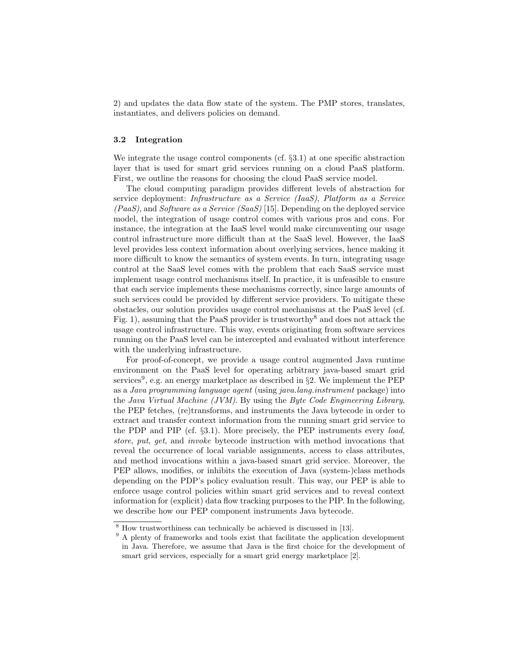2) and updates the data flow state of the system. The PMP stores, translates, instantiates, and delivers policies on demand.

#### 3.2 Integration

We integrate the usage control components (cf. §3.1) at one specific abstraction layer that is used for smart grid services running on a cloud PaaS platform. First, we outline the reasons for choosing the cloud PaaS service model.

The cloud computing paradigm provides different levels of abstraction for service deployment: Infrastructure as a Service (IaaS), Platform as a Service (PaaS), and Software as a Service (SaaS) [15]. Depending on the deployed service model, the integration of usage control comes with various pros and cons. For instance, the integration at the IaaS level would make circumventing our usage control infrastructure more difficult than at the SaaS level. However, the IaaS level provides less context information about overlying services, hence making it more difficult to know the semantics of system events. In turn, integrating usage control at the SaaS level comes with the problem that each SaaS service must implement usage control mechanisms itself. In practice, it is unfeasible to ensure that each service implements these mechanisms correctly, since large amounts of such services could be provided by different service providers. To mitigate these obstacles, our solution provides usage control mechanisms at the PaaS level (cf. Fig. 1), assuming that the PaaS provider is trustworthy<sup>8</sup> and does not attack the usage control infrastructure. This way, events originating from software services running on the PaaS level can be intercepted and evaluated without interference with the underlying infrastructure.

For proof-of-concept, we provide a usage control augmented Java runtime environment on the PaaS level for operating arbitrary java-based smart grid services<sup>9</sup>, e.g. an energy marketplace as described in §2. We implement the PEP as a Java programming language agent (using java.lang.instrument package) into the Java Virtual Machine (JVM). By using the Byte Code Engineering Library, the PEP fetches, (re)transforms, and instruments the Java bytecode in order to extract and transfer context information from the running smart grid service to the PDP and PIP (cf. §3.1). More precisely, the PEP instruments every load, store, put, get, and invoke bytecode instruction with method invocations that reveal the occurrence of local variable assignments, access to class attributes, and method invocations within a java-based smart grid service. Moreover, the PEP allows, modifies, or inhibits the execution of Java (system-)class methods depending on the PDP's policy evaluation result. This way, our PEP is able to enforce usage control policies within smart grid services and to reveal context information for (explicit) data flow tracking purposes to the PIP. In the following, we describe how our PEP component instruments Java bytecode.

<sup>8</sup> How trustworthiness can technically be achieved is discussed in [13].

<sup>&</sup>lt;sup>9</sup> A plenty of frameworks and tools exist that facilitate the application development in Java. Therefore, we assume that Java is the first choice for the development of smart grid services, especially for a smart grid energy marketplace [2].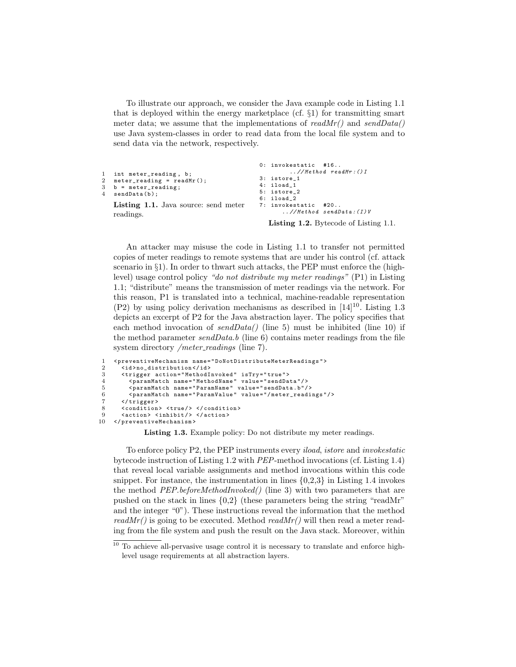To illustrate our approach, we consider the Java example code in Listing 1.1 that is deployed within the energy marketplace (cf.  $\S1$ ) for transmitting smart meter data; we assume that the implementations of  $readMr()$  and  $sendData()$ use Java system-classes in order to read data from the local file system and to send data via the network, respectively.

```
1 int meter_reading, b;<br>2 meter reading = readM:
2 meter_reading = readMr();<br>3 b = meter reading:
3 b = meter_reading;<br>4 sendData(b):
   sendData(b):
    Listing 1.1. Java source: send meter
    readings.
                                                       0: invokestatic #16..
                                                                 \ldots // Method readMr: () I
                                                       3: istore_1
                                                       4: iload_1
                                                       5: istore_2
                                                       6: iload_2
                                                       7: invokestatic #20..
                                                               \ldots // Method send Data: (I) V
                                                          Listing 1.2. Bytecode of Listing 1.1.
```
An attacker may misuse the code in Listing 1.1 to transfer not permitted copies of meter readings to remote systems that are under his control (cf. attack scenario in  $\S$ 1). In order to thwart such attacks, the PEP must enforce the (highlevel) usage control policy "do not distribute my meter readings" (P1) in Listing 1.1; "distribute" means the transmission of meter readings via the network. For this reason, P1 is translated into a technical, machine-readable representation  $(P2)$  by using policy derivation mechanisms as described in  $[14]^{10}$ . Listing 1.3 depicts an excerpt of P2 for the Java abstraction layer. The policy specifies that each method invocation of  $sendData()$  (line 5) must be inhibited (line 10) if the method parameter sendData.b (line 6) contains meter readings from the file system directory /meter\_readings (line 7).

```
1 < preventiveMechanism name =" DoNotDistributeMeterReadings " >
 2 <id>no_distribution</id><br>3 <trigger action="MethodI
        3 < trigger action =" MethodInvoked " isTry =" true " >
 ------<br>4 < paramMatch name="MethodName" value="sendData"/><br>5 < snaramMatch name="ParamName" value="sendData h"/
           5 < paramMatch name =" ParamName " value = " sendData .b"/ >
 6 < paramMatch name =" ParamValue " value ="/ meter_readings " / >
 7 </trigger><br>8 <condition:
 8 < condition > < true / > </ condition >
9 < action> <inhibit/> </action><br>10 </nreventiveMechanism>
     10 </ preventiveMechanism >
```
Listing 1.3. Example policy: Do not distribute my meter readings.

To enforce policy P2, the PEP instruments every iload, istore and invokestatic bytecode instruction of Listing 1.2 with PEP-method invocations (cf. Listing 1.4) that reveal local variable assignments and method invocations within this code snippet. For instance, the instrumentation in lines  $\{0,2,3\}$  in Listing 1.4 invokes the method PEP.beforeMethodInvoked() (line 3) with two parameters that are pushed on the stack in lines {0,2} (these parameters being the string "readMr" and the integer "0"). These instructions reveal the information that the method readMr() is going to be executed. Method readMr() will then read a meter reading from the file system and push the result on the Java stack. Moreover, within

 $10$  To achieve all-pervasive usage control it is necessary to translate and enforce highlevel usage requirements at all abstraction layers.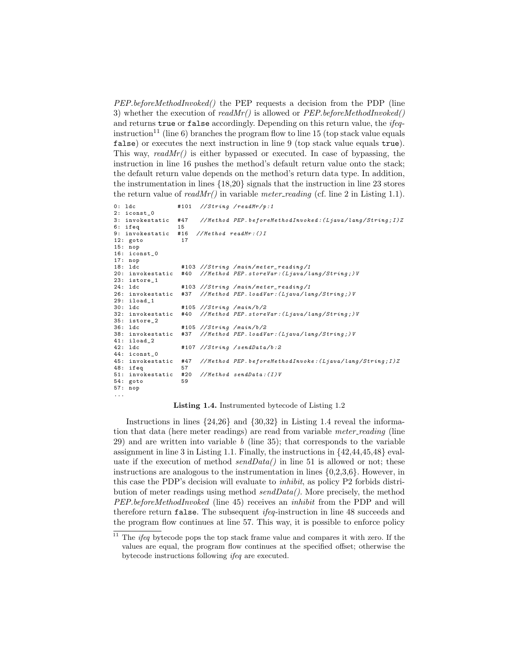PEP.beforeMethodInvoked() the PEP requests a decision from the PDP (line 3) whether the execution of  $readMr()$  is allowed or  $PEP.beforeMethod Invoked()$ and returns true or false accordingly. Depending on this return value, the *ifeq*instruction<sup>11</sup> (line 6) branches the program flow to line 15 (top stack value equals false) or executes the next instruction in line 9 (top stack value equals true). This way,  $readMr()$  is either bypassed or executed. In case of bypassing, the instruction in line 16 pushes the method's default return value onto the stack; the default return value depends on the method's return data type. In addition, the instrumentation in lines {18,20} signals that the instruction in line 23 stores the return value of  $readMr()$  in variable meter\_reading (cf. line 2 in Listing 1.1).

```
0: 1dc #101 // String / readMr/p:1
2: iconst_0<br>3: invokestatic
                     #47 // Method PEP. beforeMethodInvoked: (Ljava/lang/String; I ) Z<br>15
6: ifeq 15<br>9: invokestatic #16
9: invokestatic #16 // Method read Mr: () I<br>12: goto 17
12: goto
15: nop
16: iconst_0
17: nop
18: 1dc #103 // String / main / meter_reading /1<br>20: invokestatic #40 // Method PEP.storeVar: (Ljava/l
                      #40 // Method PEP.storeVar: (Ljava/lang/String;) V
23: istore_1
24: ldc #103 // String / main / meter_reading /1<br>26: invokestatic #37 // Method PEP.loadVar: (Ljava/la
                      #37 // Method PEP. loadVar: (Ljava/lang/String;) V
29: iload_1
30: 1dc #105 // String / main / b /2<br>32: invokestatic #40 // Method PEP.store
                      #40 // Method PEP.storeVar: (Ljava/lang/String;) V
35: istore_2
                      #105 // String / main / b / 2
38: invokestatic #37 // Method PEP. loadVar: (Ljava/lang/String;) V
41: iload_2
42: 1dc #107 // String / sendData/b:2
44: iconst_0<br>45: invokestatic
                      #47 // Method PEP. beforeMethod Invoke: (Ljava/lang/String; I) Z
48: ifeq 57
51: invokestatic #20 //Method sendData: (I) V
54: goto 59
57: nop
...
```
#### Listing 1.4. Instrumented bytecode of Listing 1.2

Instructions in lines  $\{24,26\}$  and  $\{30,32\}$  in Listing 1.4 reveal the information that data (here meter readings) are read from variable meter reading (line 29) and are written into variable  $b$  (line 35); that corresponds to the variable assignment in line 3 in Listing 1.1. Finally, the instructions in  $\{42,44,45,48\}$  evaluate if the execution of method  $sendData()$  in line 51 is allowed or not; these instructions are analogous to the instrumentation in lines {0,2,3,6}. However, in this case the PDP's decision will evaluate to inhibit, as policy P2 forbids distribution of meter readings using method  $sendData()$ . More precisely, the method PEP.beforeMethodInvoked (line 45) receives an inhibit from the PDP and will therefore return false. The subsequent ifeq-instruction in line 48 succeeds and the program flow continues at line 57. This way, it is possible to enforce policy

 $11$  The *ifeq* bytecode pops the top stack frame value and compares it with zero. If the values are equal, the program flow continues at the specified offset; otherwise the bytecode instructions following ifeq are executed.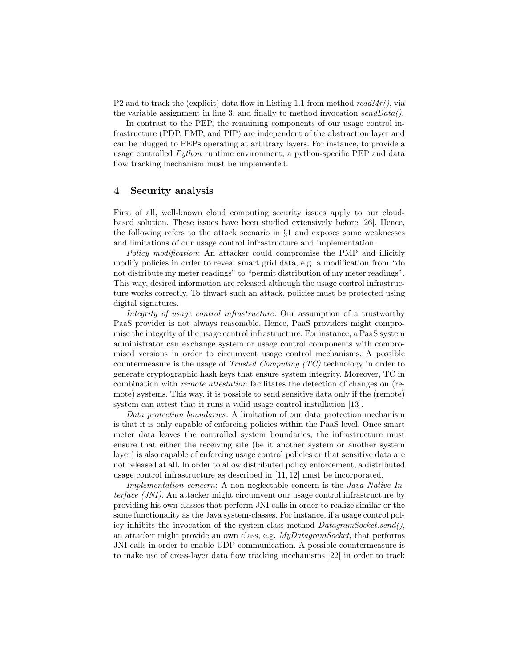P2 and to track the (explicit) data flow in Listing 1.1 from method readMr(), via the variable assignment in line 3, and finally to method invocation sendData().

In contrast to the PEP, the remaining components of our usage control infrastructure (PDP, PMP, and PIP) are independent of the abstraction layer and can be plugged to PEPs operating at arbitrary layers. For instance, to provide a usage controlled Python runtime environment, a python-specific PEP and data flow tracking mechanism must be implemented.

### 4 Security analysis

First of all, well-known cloud computing security issues apply to our cloudbased solution. These issues have been studied extensively before [26]. Hence, the following refers to the attack scenario in  $\S1$  and exposes some weaknesses and limitations of our usage control infrastructure and implementation.

Policy modification: An attacker could compromise the PMP and illicitly modify policies in order to reveal smart grid data, e.g. a modification from "do not distribute my meter readings" to "permit distribution of my meter readings". This way, desired information are released although the usage control infrastructure works correctly. To thwart such an attack, policies must be protected using digital signatures.

Integrity of usage control infrastructure: Our assumption of a trustworthy PaaS provider is not always reasonable. Hence, PaaS providers might compromise the integrity of the usage control infrastructure. For instance, a PaaS system administrator can exchange system or usage control components with compromised versions in order to circumvent usage control mechanisms. A possible countermeasure is the usage of Trusted Computing (TC) technology in order to generate cryptographic hash keys that ensure system integrity. Moreover, TC in combination with remote attestation facilitates the detection of changes on (remote) systems. This way, it is possible to send sensitive data only if the (remote) system can attest that it runs a valid usage control installation [13].

Data protection boundaries: A limitation of our data protection mechanism is that it is only capable of enforcing policies within the PaaS level. Once smart meter data leaves the controlled system boundaries, the infrastructure must ensure that either the receiving site (be it another system or another system layer) is also capable of enforcing usage control policies or that sensitive data are not released at all. In order to allow distributed policy enforcement, a distributed usage control infrastructure as described in [11, 12] must be incorporated.

Implementation concern: A non neglectable concern is the Java Native Interface (JNI). An attacker might circumvent our usage control infrastructure by providing his own classes that perform JNI calls in order to realize similar or the same functionality as the Java system-classes. For instance, if a usage control policy inhibits the invocation of the system-class method  $DatagramSocket.send(),$ an attacker might provide an own class, e.g.  $MyDatagramSocket$ , that performs JNI calls in order to enable UDP communication. A possible countermeasure is to make use of cross-layer data flow tracking mechanisms [22] in order to track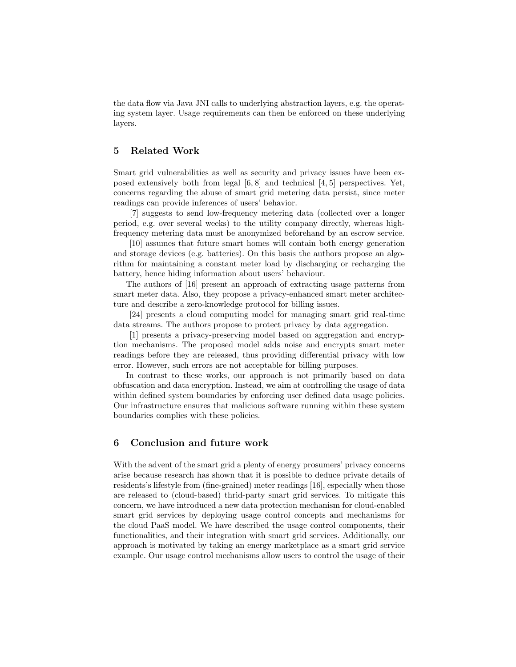the data flow via Java JNI calls to underlying abstraction layers, e.g. the operating system layer. Usage requirements can then be enforced on these underlying layers.

# 5 Related Work

Smart grid vulnerabilities as well as security and privacy issues have been exposed extensively both from legal [6, 8] and technical [4, 5] perspectives. Yet, concerns regarding the abuse of smart grid metering data persist, since meter readings can provide inferences of users' behavior.

[7] suggests to send low-frequency metering data (collected over a longer period, e.g. over several weeks) to the utility company directly, whereas highfrequency metering data must be anonymized beforehand by an escrow service.

[10] assumes that future smart homes will contain both energy generation and storage devices (e.g. batteries). On this basis the authors propose an algorithm for maintaining a constant meter load by discharging or recharging the battery, hence hiding information about users' behaviour.

The authors of [16] present an approach of extracting usage patterns from smart meter data. Also, they propose a privacy-enhanced smart meter architecture and describe a zero-knowledge protocol for billing issues.

[24] presents a cloud computing model for managing smart grid real-time data streams. The authors propose to protect privacy by data aggregation.

[1] presents a privacy-preserving model based on aggregation and encryption mechanisms. The proposed model adds noise and encrypts smart meter readings before they are released, thus providing differential privacy with low error. However, such errors are not acceptable for billing purposes.

In contrast to these works, our approach is not primarily based on data obfuscation and data encryption. Instead, we aim at controlling the usage of data within defined system boundaries by enforcing user defined data usage policies. Our infrastructure ensures that malicious software running within these system boundaries complies with these policies.

# 6 Conclusion and future work

With the advent of the smart grid a plenty of energy prosumers' privacy concerns arise because research has shown that it is possible to deduce private details of residents's lifestyle from (fine-grained) meter readings [16], especially when those are released to (cloud-based) thrid-party smart grid services. To mitigate this concern, we have introduced a new data protection mechanism for cloud-enabled smart grid services by deploying usage control concepts and mechanisms for the cloud PaaS model. We have described the usage control components, their functionalities, and their integration with smart grid services. Additionally, our approach is motivated by taking an energy marketplace as a smart grid service example. Our usage control mechanisms allow users to control the usage of their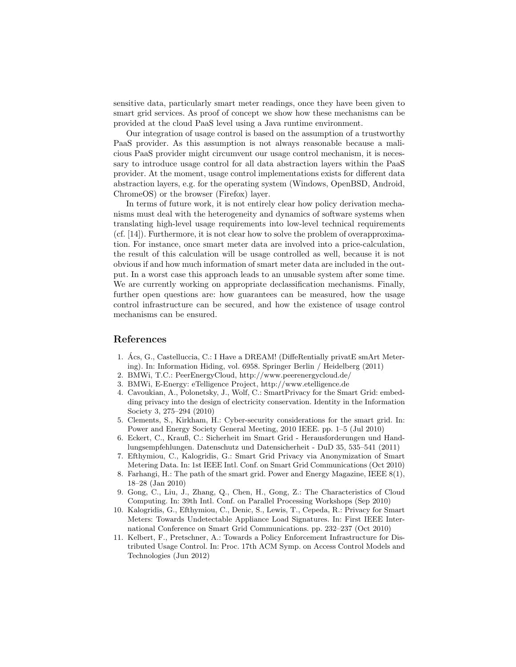sensitive data, particularly smart meter readings, once they have been given to smart grid services. As proof of concept we show how these mechanisms can be provided at the cloud PaaS level using a Java runtime environment.

Our integration of usage control is based on the assumption of a trustworthy PaaS provider. As this assumption is not always reasonable because a malicious PaaS provider might circumvent our usage control mechanism, it is necessary to introduce usage control for all data abstraction layers within the PaaS provider. At the moment, usage control implementations exists for different data abstraction layers, e.g. for the operating system (Windows, OpenBSD, Android, ChromeOS) or the browser (Firefox) layer.

In terms of future work, it is not entirely clear how policy derivation mechanisms must deal with the heterogeneity and dynamics of software systems when translating high-level usage requirements into low-level technical requirements (cf. [14]). Furthermore, it is not clear how to solve the problem of overapproximation. For instance, once smart meter data are involved into a price-calculation, the result of this calculation will be usage controlled as well, because it is not obvious if and how much information of smart meter data are included in the output. In a worst case this approach leads to an unusable system after some time. We are currently working on appropriate declassification mechanisms. Finally, further open questions are: how guarantees can be measured, how the usage control infrastructure can be secured, and how the existence of usage control mechanisms can be ensured.

# References

- 1. Acs, G., Castelluccia, C.: I Have a DREAM! (DiffeRentially privatE smArt Meter- ´ ing). In: Information Hiding, vol. 6958. Springer Berlin / Heidelberg (2011)
- 2. BMWi, T.C.: PeerEnergyCloud, http://www.peerenergycloud.de/
- 3. BMWi, E-Energy: eTelligence Project, http://www.etelligence.de
- 4. Cavoukian, A., Polonetsky, J., Wolf, C.: SmartPrivacy for the Smart Grid: embedding privacy into the design of electricity conservation. Identity in the Information Society 3, 275–294 (2010)
- 5. Clements, S., Kirkham, H.: Cyber-security considerations for the smart grid. In: Power and Energy Society General Meeting, 2010 IEEE. pp. 1–5 (Jul 2010)
- 6. Eckert, C., Krauß, C.: Sicherheit im Smart Grid Herausforderungen und Handlungsempfehlungen. Datenschutz und Datensicherheit - DuD 35, 535–541 (2011)
- 7. Efthymiou, C., Kalogridis, G.: Smart Grid Privacy via Anonymization of Smart Metering Data. In: 1st IEEE Intl. Conf. on Smart Grid Communications (Oct 2010)
- 8. Farhangi, H.: The path of the smart grid. Power and Energy Magazine, IEEE 8(1), 18–28 (Jan 2010)
- 9. Gong, C., Liu, J., Zhang, Q., Chen, H., Gong, Z.: The Characteristics of Cloud Computing. In: 39th Intl. Conf. on Parallel Processing Workshops (Sep 2010)
- 10. Kalogridis, G., Efthymiou, C., Denic, S., Lewis, T., Cepeda, R.: Privacy for Smart Meters: Towards Undetectable Appliance Load Signatures. In: First IEEE International Conference on Smart Grid Communications. pp. 232–237 (Oct 2010)
- 11. Kelbert, F., Pretschner, A.: Towards a Policy Enforcement Infrastructure for Distributed Usage Control. In: Proc. 17th ACM Symp. on Access Control Models and Technologies (Jun 2012)